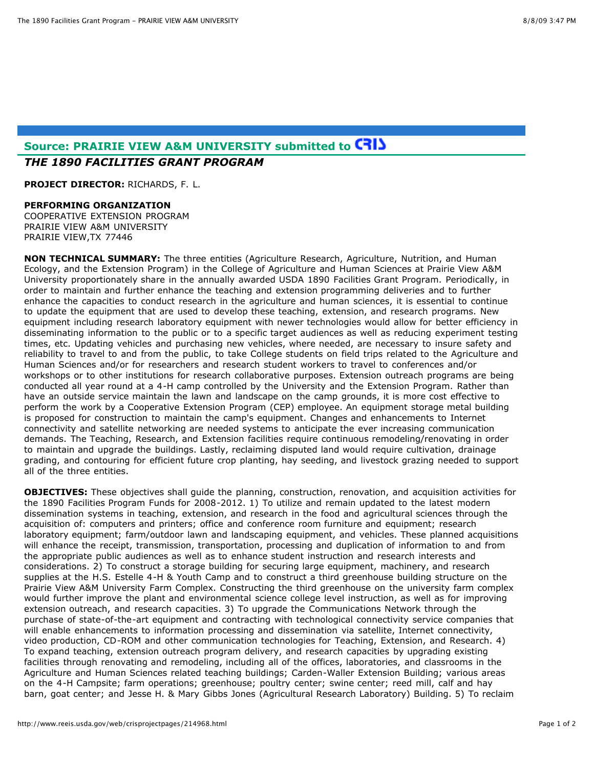# **Source: PRAIRIE VIEW A&M UNIVERSITY submitted to** *THE 1890 FACILITIES GRANT PROGRAM*

**PROJECT DIRECTOR:** RICHARDS, F. L.

#### **PERFORMING ORGANIZATION**

COOPERATIVE EXTENSION PROGRAM PRAIRIE VIEW A&M UNIVERSITY PRAIRIE VIEW,TX 77446

**NON TECHNICAL SUMMARY:** The three entities (Agriculture Research, Agriculture, Nutrition, and Human Ecology, and the Extension Program) in the College of Agriculture and Human Sciences at Prairie View A&M University proportionately share in the annually awarded USDA 1890 Facilities Grant Program. Periodically, in order to maintain and further enhance the teaching and extension programming deliveries and to further enhance the capacities to conduct research in the agriculture and human sciences, it is essential to continue to update the equipment that are used to develop these teaching, extension, and research programs. New equipment including research laboratory equipment with newer technologies would allow for better efficiency in disseminating information to the public or to a specific target audiences as well as reducing experiment testing times, etc. Updating vehicles and purchasing new vehicles, where needed, are necessary to insure safety and reliability to travel to and from the public, to take College students on field trips related to the Agriculture and Human Sciences and/or for researchers and research student workers to travel to conferences and/or workshops or to other institutions for research collaborative purposes. Extension outreach programs are being conducted all year round at a 4-H camp controlled by the University and the Extension Program. Rather than have an outside service maintain the lawn and landscape on the camp grounds, it is more cost effective to perform the work by a Cooperative Extension Program (CEP) employee. An equipment storage metal building is proposed for construction to maintain the camp's equipment. Changes and enhancements to Internet connectivity and satellite networking are needed systems to anticipate the ever increasing communication demands. The Teaching, Research, and Extension facilities require continuous remodeling/renovating in order to maintain and upgrade the buildings. Lastly, reclaiming disputed land would require cultivation, drainage grading, and contouring for efficient future crop planting, hay seeding, and livestock grazing needed to support all of the three entities.

**OBJECTIVES:** These objectives shall guide the planning, construction, renovation, and acquisition activities for the 1890 Facilities Program Funds for 2008-2012. 1) To utilize and remain updated to the latest modern dissemination systems in teaching, extension, and research in the food and agricultural sciences through the acquisition of: computers and printers; office and conference room furniture and equipment; research laboratory equipment; farm/outdoor lawn and landscaping equipment, and vehicles. These planned acquisitions will enhance the receipt, transmission, transportation, processing and duplication of information to and from the appropriate public audiences as well as to enhance student instruction and research interests and considerations. 2) To construct a storage building for securing large equipment, machinery, and research supplies at the H.S. Estelle 4-H & Youth Camp and to construct a third greenhouse building structure on the Prairie View A&M University Farm Complex. Constructing the third greenhouse on the university farm complex would further improve the plant and environmental science college level instruction, as well as for improving extension outreach, and research capacities. 3) To upgrade the Communications Network through the purchase of state-of-the-art equipment and contracting with technological connectivity service companies that will enable enhancements to information processing and dissemination via satellite, Internet connectivity, video production, CD-ROM and other communication technologies for Teaching, Extension, and Research. 4) To expand teaching, extension outreach program delivery, and research capacities by upgrading existing facilities through renovating and remodeling, including all of the offices, laboratories, and classrooms in the Agriculture and Human Sciences related teaching buildings; Carden-Waller Extension Building; various areas on the 4-H Campsite; farm operations; greenhouse; poultry center; swine center; reed mill, calf and hay barn, goat center; and Jesse H. & Mary Gibbs Jones (Agricultural Research Laboratory) Building. 5) To reclaim